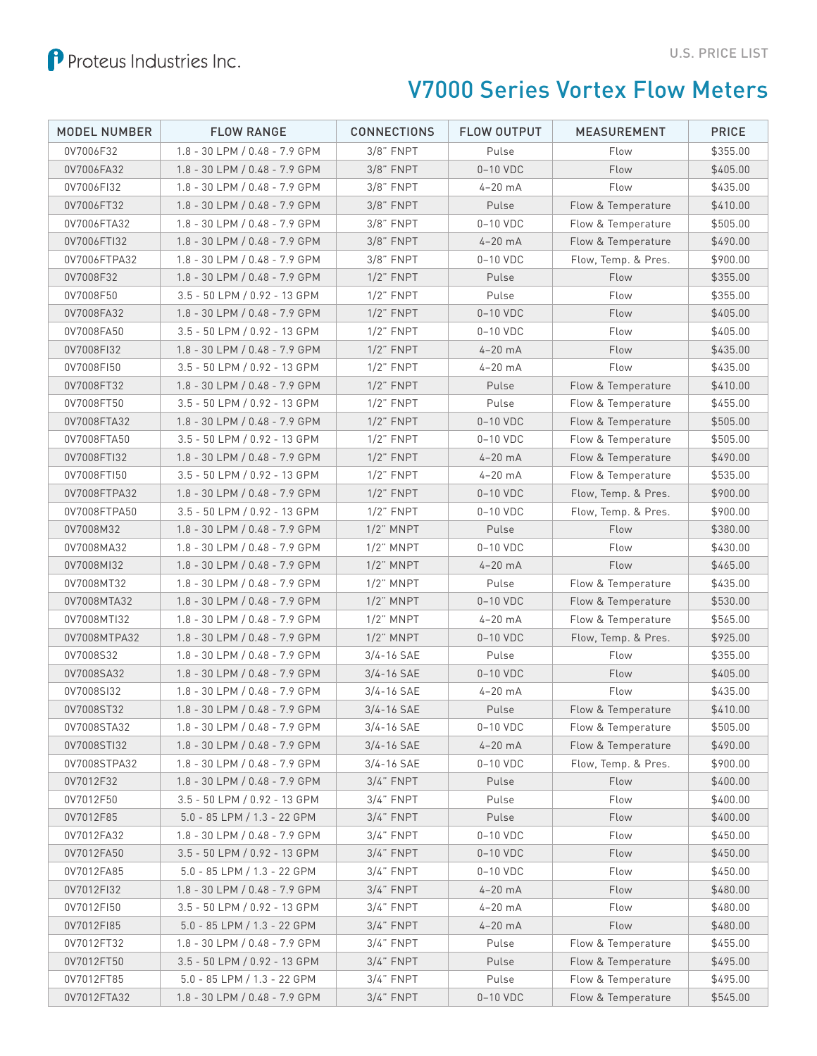

## V7000 Series Vortex Flow Meters

| <b>MODEL NUMBER</b>    | <b>FLOW RANGE</b>                                                 | <b>CONNECTIONS</b>           | <b>FLOW OUTPUT</b> | <b>MEASUREMENT</b>  | <b>PRICE</b>         |
|------------------------|-------------------------------------------------------------------|------------------------------|--------------------|---------------------|----------------------|
| 0V7006F32              | $1.8 - 30$ LPM $/ 0.48 - 7.9$ GPM                                 | $3/8$ " FNPT                 | Pulse              | Flow                | \$355.00             |
| 0V7006FA32             | 1.8 - 30 LPM / 0.48 - 7.9 GPM                                     | $3/8$ " FNPT                 | $0-10$ VDC         | Flow                | \$405.00             |
| 0V7006FI32             | 1.8 - 30 LPM / 0.48 - 7.9 GPM                                     | $3/8$ " FNPT                 | $4 - 20$ mA        | Flow                | \$435.00             |
| 0V7006FT32             | 1.8 - 30 LPM / 0.48 - 7.9 GPM                                     | $3/8$ " FNPT                 | Pulse              | Flow & Temperature  | \$410.00             |
| 0V7006FTA32            | $1.8 - 30$ LPM $/ 0.48 - 7.9$ GPM                                 | $3/8$ " FNPT                 | $0-10$ VDC         | Flow & Temperature  | \$505.00             |
| 0V7006FTI32            | 1.8 - 30 LPM / 0.48 - 7.9 GPM                                     | $3/8$ " FNPT                 | $4-20$ mA          | Flow & Temperature  | \$490.00             |
| 0V7006FTPA32           | 1.8 - 30 LPM / 0.48 - 7.9 GPM                                     | $3/8$ " FNPT                 | $0-10$ VDC         | Flow, Temp. & Pres. | \$900.00             |
| 0V7008F32              | 1.8 - 30 LPM / 0.48 - 7.9 GPM                                     | $1/2$ " FNPT                 | Pulse              | Flow                | \$355.00             |
| 0V7008F50              | 3.5 - 50 LPM / 0.92 - 13 GPM                                      | $1/2$ " FNPT                 | Pulse              | Flow                | \$355.00             |
| 0V7008FA32             | 1.8 - 30 LPM / 0.48 - 7.9 GPM                                     | $1/2$ " FNPT                 | $0-10$ VDC         | Flow                | \$405.00             |
| 0V7008FA50             | 3.5 - 50 LPM / 0.92 - 13 GPM                                      | $1/2$ " FNPT                 | 0-10 VDC           | Flow                | \$405.00             |
| 0V7008FI32             | 1.8 - 30 LPM / 0.48 - 7.9 GPM                                     | $1/2$ " FNPT                 | $4-20$ mA          | Flow                | \$435.00             |
| 0V7008FI50             | 3.5 - 50 LPM / 0.92 - 13 GPM                                      | $1/2$ " FNPT                 | $4-20$ mA          | Flow                | \$435.00             |
| 0V7008FT32             | 1.8 - 30 LPM / 0.48 - 7.9 GPM                                     | $1/2$ " FNPT                 | Pulse              | Flow & Temperature  | \$410.00             |
| 0V7008FT50             | 3.5 - 50 LPM / 0.92 - 13 GPM                                      | $1/2$ " FNPT                 | Pulse              | Flow & Temperature  | \$455.00             |
| 0V7008FTA32            | 1.8 - 30 LPM / 0.48 - 7.9 GPM                                     | $1/2$ " FNPT                 | $0-10$ VDC         | Flow & Temperature  | \$505.00             |
| 0V7008FTA50            | 3.5 - 50 LPM / 0.92 - 13 GPM                                      | $1/2$ " FNPT                 | $0-10$ VDC         | Flow & Temperature  | \$505.00             |
| 0V7008FTI32            | 1.8 - 30 LPM / 0.48 - 7.9 GPM                                     | $1/2$ " FNPT                 | $4-20$ mA          | Flow & Temperature  | \$490.00             |
| 0V7008FTI50            | 3.5 - 50 LPM / 0.92 - 13 GPM                                      | $1/2$ " FNPT                 | $4-20$ mA          | Flow & Temperature  | \$535.00             |
| 0V7008FTPA32           | 1.8 - 30 LPM / 0.48 - 7.9 GPM                                     | $1/2$ " FNPT                 | $0-10$ VDC         | Flow, Temp. & Pres. | \$900.00             |
| 0V7008FTPA50           | 3.5 - 50 LPM / 0.92 - 13 GPM                                      | $1/2$ " FNPT                 | $0-10$ VDC         | Flow, Temp. & Pres. | \$900.00             |
| 0V7008M32              | 1.8 - 30 LPM / 0.48 - 7.9 GPM                                     | $1/2$ " MNPT                 | Pulse              | Flow                | \$380.00             |
| 0V7008MA32             | 1.8 - 30 LPM / 0.48 - 7.9 GPM                                     | $1/2$ " MNPT                 | $0-10$ VDC         | Flow                | \$430.00             |
| 0V7008MI32             | 1.8 - 30 LPM / 0.48 - 7.9 GPM                                     | $1/2$ " MNPT                 | $4-20$ mA          | Flow                | \$465.00             |
| 0V7008MT32             | $1.8 - 30$ LPM $/ 0.48 - 7.9$ GPM                                 | $1/2$ " MNPT                 | Pulse              | Flow & Temperature  | \$435.00             |
| 0V7008MTA32            | 1.8 - 30 LPM / 0.48 - 7.9 GPM                                     | $1/2$ " MNPT                 | $0-10$ VDC         | Flow & Temperature  | \$530.00             |
| 0V7008MTI32            | 1.8 - 30 LPM / 0.48 - 7.9 GPM                                     | $1/2$ " MNPT                 | $4-20$ mA          | Flow & Temperature  | \$565.00             |
| 0V7008MTPA32           | $1.8 - 30$ LPM $/ 0.48 - 7.9$ GPM                                 | $1/2$ " MNPT                 | $0-10$ VDC         | Flow, Temp. & Pres. | \$925.00             |
| 0V7008S32              | 1.8 - 30 LPM / 0.48 - 7.9 GPM                                     | $3/4 - 16$ SAE               | Pulse              | Flow                | \$355.00             |
| 0V7008SA32             | 1.8 - 30 LPM / 0.48 - 7.9 GPM                                     | $3/4 - 16$ SAE               | $0-10$ VDC         | Flow                | \$405.00             |
| 0V7008SI32             | 1.8 - 30 LPM / 0.48 - 7.9 GPM                                     | $3/4 - 16$ SAE               | $4-20$ mA          | Flow                | \$435.00             |
| 0V7008ST32             | 1.8 - 30 LPM / 0.48 - 7.9 GPM                                     | 3/4-16 SAE                   | Pulse              | Flow & Temperature  | \$410.00             |
| 0V7008STA32            | 1.8 - 30 LPM / 0.48 - 7.9 GPM                                     | $3/4 - 16$ SAE               | $0-10$ VDC         | Flow & Temperature  | \$505.00             |
| 0V7008STI32            | 1.8 - 30 LPM / 0.48 - 7.9 GPM                                     | $3/4 - 16$ SAE               | $4-20$ mA          | Flow & Temperature  | \$490.00             |
| 0V7008STPA32           | 1.8 - 30 LPM / 0.48 - 7.9 GPM                                     | 3/4-16 SAE                   | $0-10$ VDC         | Flow, Temp. & Pres. | \$900.00             |
| 0V7012F32              | $1.8 - 30$ LPM $/ 0.48 - 7.9$ GPM<br>3.5 - 50 LPM / 0.92 - 13 GPM | $3/4$ " FNPT<br>$3/4$ " FNPT | Pulse              | Flow                | \$400.00             |
| 0V7012F50<br>0V7012F85 | $5.0 - 85$ LPM $/ 1.3 - 22$ GPM                                   | $3/4$ " FNPT                 | Pulse<br>Pulse     | Flow<br>Flow        | \$400.00<br>\$400.00 |
| 0V7012FA32             | 1.8 - 30 LPM / 0.48 - 7.9 GPM                                     |                              | $0-10$ VDC         | Flow                | \$450.00             |
| 0V7012FA50             |                                                                   | $3/4$ " FNPT                 | $0-10$ VDC         | Flow                | \$450.00             |
| 0V7012FA85             | 3.5 - 50 LPM / 0.92 - 13 GPM<br>$5.0 - 85$ LPM $/ 1.3 - 22$ GPM   | $3/4$ " FNPT                 | 0-10 VDC           | Flow                | \$450.00             |
| 0V7012FI32             | 1.8 - 30 LPM / 0.48 - 7.9 GPM                                     | $3/4$ " FNPT<br>$3/4$ " FNPT | $4-20$ mA          | Flow                | \$480.00             |
| 0V7012FI50             | 3.5 - 50 LPM / 0.92 - 13 GPM                                      | $3/4$ " FNPT                 | $4-20$ mA          | Flow                | \$480.00             |
| 0V7012FI85             | $5.0 - 85$ LPM $/ 1.3 - 22$ GPM                                   | $3/4$ " FNPT                 | $4-20$ mA          | Flow                | \$480.00             |
| 0V7012FT32             | 1.8 - 30 LPM / 0.48 - 7.9 GPM                                     | $3/4$ " FNPT                 | Pulse              | Flow & Temperature  | \$455.00             |
| 0V7012FT50             | 3.5 - 50 LPM / 0.92 - 13 GPM                                      | $3/4$ " FNPT                 | Pulse              | Flow & Temperature  | \$495.00             |
| 0V7012FT85             | $5.0 - 85$ LPM / 1.3 - 22 GPM                                     | $3/4$ " FNPT                 | Pulse              | Flow & Temperature  | \$495.00             |
| 0V7012FTA32            | $1.8 - 30$ LPM $/ 0.48 - 7.9$ GPM                                 | $3/4$ " FNPT                 | $0-10$ VDC         | Flow & Temperature  | \$545.00             |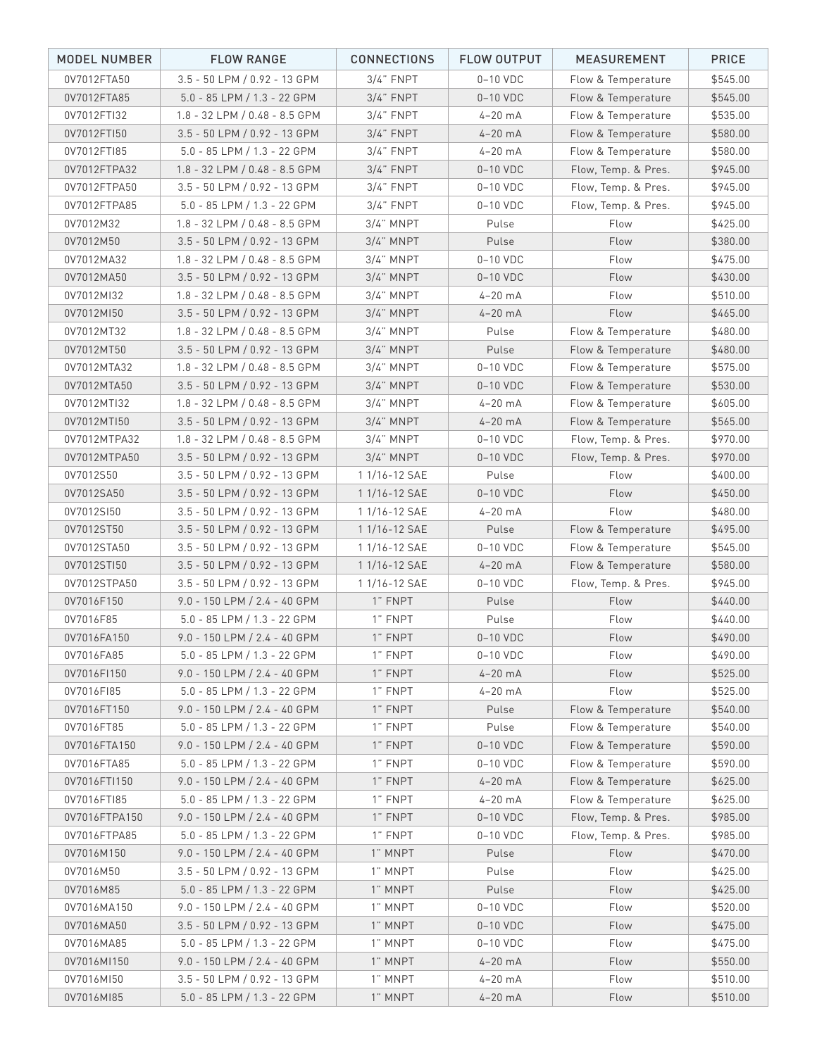| <b>MODEL NUMBER</b> | <b>FLOW RANGE</b>                 | <b>CONNECTIONS</b> | FLOW OUTPUT | <b>MEASUREMENT</b>  | <b>PRICE</b> |
|---------------------|-----------------------------------|--------------------|-------------|---------------------|--------------|
| 0V7012FTA50         | 3.5 - 50 LPM / 0.92 - 13 GPM      | $3/4$ " FNPT       | $0-10$ VDC  | Flow & Temperature  | \$545.00     |
| 0V7012FTA85         | 5.0 - 85 LPM / 1.3 - 22 GPM       | $3/4$ " FNPT       | $0-10$ VDC  | Flow & Temperature  | \$545.00     |
| 0V7012FTI32         | $1.8 - 32$ LPM $/ 0.48 - 8.5$ GPM | $3/4$ " FNPT       | $4-20$ mA   | Flow & Temperature  | \$535.00     |
| 0V7012FTI50         | 3.5 - 50 LPM / 0.92 - 13 GPM      | $3/4$ " FNPT       | $4-20$ mA   | Flow & Temperature  | \$580.00     |
| 0V7012FTI85         | $5.0 - 85$ LPM $/ 1.3 - 22$ GPM   | $3/4$ " FNPT       | $4-20$ mA   | Flow & Temperature  | \$580.00     |
| 0V7012FTPA32        | 1.8 - 32 LPM / 0.48 - 8.5 GPM     | $3/4$ " FNPT       | $0-10$ VDC  | Flow, Temp. & Pres. | \$945.00     |
| 0V7012FTPA50        | 3.5 - 50 LPM / 0.92 - 13 GPM      | $3/4$ " FNPT       | $0-10$ VDC  | Flow, Temp. & Pres. | \$945.00     |
| 0V7012FTPA85        | $5.0 - 85$ LPM $/ 1.3 - 22$ GPM   | $3/4$ " FNPT       | $0-10$ VDC  | Flow, Temp. & Pres. | \$945.00     |
| 0V7012M32           | 1.8 - 32 LPM / 0.48 - 8.5 GPM     | $3/4$ " MNPT       | Pulse       | Flow                | \$425.00     |
| 0V7012M50           | 3.5 - 50 LPM / 0.92 - 13 GPM      | $3/4$ " MNPT       | Pulse       | Flow                | \$380.00     |
| 0V7012MA32          | $1.8 - 32$ LPM $/ 0.48 - 8.5$ GPM | $3/4$ " MNPT       | $0-10$ VDC  | Flow                | \$475.00     |
| 0V7012MA50          | 3.5 - 50 LPM / 0.92 - 13 GPM      | $3/4$ " MNPT       | $0-10$ VDC  | Flow                | \$430.00     |
| 0V7012MI32          | 1.8 - 32 LPM / 0.48 - 8.5 GPM     | $3/4$ " MNPT       | $4-20$ mA   | Flow                | \$510.00     |
| 0V7012MI50          | 3.5 - 50 LPM / 0.92 - 13 GPM      | $3/4$ " MNPT       | $4-20$ mA   | Flow                | \$465.00     |
| 0V7012MT32          | $1.8 - 32$ LPM $/ 0.48 - 8.5$ GPM | $3/4$ " MNPT       | Pulse       | Flow & Temperature  | \$480.00     |
| 0V7012MT50          | 3.5 - 50 LPM / 0.92 - 13 GPM      | $3/4$ " MNPT       | Pulse       | Flow & Temperature  | \$480.00     |
| 0V7012MTA32         | 1.8 - 32 LPM / 0.48 - 8.5 GPM     | $3/4$ " MNPT       | $0-10$ VDC  | Flow & Temperature  | \$575.00     |
| 0V7012MTA50         | 3.5 - 50 LPM / 0.92 - 13 GPM      | $3/4$ " MNPT       | $0-10$ VDC  | Flow & Temperature  | \$530.00     |
| 0V7012MTI32         | $1.8 - 32$ LPM $/ 0.48 - 8.5$ GPM | $3/4$ " MNPT       | $4-20$ mA   | Flow & Temperature  | \$605.00     |
| 0V7012MTI50         | 3.5 - 50 LPM / 0.92 - 13 GPM      | $3/4$ " MNPT       | $4-20$ mA   | Flow & Temperature  | \$565.00     |
| 0V7012MTPA32        | 1.8 - 32 LPM / 0.48 - 8.5 GPM     | $3/4$ " MNPT       | $0-10$ VDC  | Flow, Temp. & Pres. | \$970.00     |
| 0V7012MTPA50        | 3.5 - 50 LPM / 0.92 - 13 GPM      | $3/4$ " MNPT       | $0-10$ VDC  | Flow, Temp. & Pres. | \$970.00     |
| 0V7012S50           | 3.5 - 50 LPM / 0.92 - 13 GPM      | 1 1/16-12 SAE      | Pulse       | Flow                | \$400.00     |
| 0V7012SA50          | 3.5 - 50 LPM / 0.92 - 13 GPM      | 1 1/16-12 SAE      | $0-10$ VDC  | Flow                | \$450.00     |
| 0V7012SI50          | 3.5 - 50 LPM / 0.92 - 13 GPM      | 1 1/16-12 SAE      | $4-20$ mA   | Flow                | \$480.00     |
| 0V7012ST50          | 3.5 - 50 LPM / 0.92 - 13 GPM      | 1 1/16-12 SAE      | Pulse       | Flow & Temperature  | \$495.00     |
| 0V7012STA50         | 3.5 - 50 LPM / 0.92 - 13 GPM      | 1 1/16-12 SAE      | $0-10$ VDC  | Flow & Temperature  | \$545.00     |
| 0V7012STI50         | 3.5 - 50 LPM / 0.92 - 13 GPM      | 1 1/16-12 SAE      | $4-20$ mA   | Flow & Temperature  | \$580.00     |
| 0V7012STPA50        | 3.5 - 50 LPM / 0.92 - 13 GPM      | 1 1/16-12 SAE      | $0-10$ VDC  | Flow, Temp. & Pres. | \$945.00     |
| 0V7016F150          | 9.0 - 150 LPM / 2.4 - 40 GPM      | 1" FNPT            | Pulse       | Flow                | \$440.00     |
| 0V7016F85           | $5.0 - 85$ LPM $/ 1.3 - 22$ GPM   | 1" FNPT            | Pulse       | Flow                | \$440.00     |
| 0V7016FA150         | 9.0 - 150 LPM / 2.4 - 40 GPM      | 1" FNPT            | $0-10$ VDC  | Flow                | \$490.00     |
| 0V7016FA85          | $5.0 - 85$ LPM $/ 1.3 - 22$ GPM   | 1" FNPT            | $0-10$ VDC  | Flow                | \$490.00     |
| 0V7016FI150         | 9.0 - 150 LPM / 2.4 - 40 GPM      | 1" FNPT            | $4-20$ mA   | Flow                | \$525.00     |
| 0V7016FI85          | 5.0 - 85 LPM / 1.3 - 22 GPM       | 1" FNPT            | $4-20$ mA   | Flow                | \$525.00     |
| 0V7016FT150         | 9.0 - 150 LPM / 2.4 - 40 GPM      | 1" FNPT            | Pulse       | Flow & Temperature  | \$540.00     |
| 0V7016FT85          | $5.0 - 85$ LPM $/ 1.3 - 22$ GPM   | 1" FNPT            | Pulse       | Flow & Temperature  | \$540.00     |
| 0V7016FTA150        | $9.0 - 150$ LPM $/ 2.4 - 40$ GPM  | 1" FNPT            | $0-10$ VDC  | Flow & Temperature  | \$590.00     |
| 0V7016FTA85         | $5.0 - 85$ LPM $/ 1.3 - 22$ GPM   | 1" FNPT            | $0-10$ VDC  | Flow & Temperature  | \$590.00     |
| 0V7016FTI150        | 9.0 - 150 LPM / 2.4 - 40 GPM      | 1" FNPT            | $4-20$ mA   | Flow & Temperature  | \$625.00     |
| 0V7016FTI85         | $5.0 - 85$ LPM $/ 1.3 - 22$ GPM   | 1" FNPT            | $4-20$ mA   | Flow & Temperature  | \$625.00     |
| 0V7016FTPA150       | $9.0 - 150$ LPM / 2.4 - 40 GPM    | 1" FNPT            | $0-10$ VDC  | Flow, Temp. & Pres. | \$985.00     |
| 0V7016FTPA85        | $5.0 - 85$ LPM $/ 1.3 - 22$ GPM   | 1" FNPT            | 0-10 VDC    | Flow, Temp. & Pres. | \$985.00     |
| 0V7016M150          | $9.0 - 150$ LPM / 2.4 - 40 GPM    | 1" MNPT            | Pulse       | Flow                | \$470.00     |
| 0V7016M50           | 3.5 - 50 LPM / 0.92 - 13 GPM      | 1" MNPT            | Pulse       | Flow                | \$425.00     |
| 0V7016M85           | $5.0 - 85$ LPM / 1.3 - 22 GPM     | 1" MNPT            | Pulse       | Flow                | \$425.00     |
| 0V7016MA150         | 9.0 - 150 LPM / 2.4 - 40 GPM      | 1" MNPT            | 0-10 VDC    | Flow                | \$520.00     |
| 0V7016MA50          | 3.5 - 50 LPM / 0.92 - 13 GPM      | 1" MNPT            | $0-10$ VDC  | Flow                | \$475.00     |
| 0V7016MA85          | $5.0 - 85$ LPM $/ 1.3 - 22$ GPM   | 1" MNPT            | 0-10 VDC    | Flow                | \$475.00     |
| 0V7016MI150         | $9.0 - 150$ LPM / 2.4 - 40 GPM    | 1" MNPT            | $4-20$ mA   | Flow                | \$550.00     |
| 0V7016MI50          | 3.5 - 50 LPM / 0.92 - 13 GPM      | 1" MNPT            | $4-20$ mA   | Flow                | \$510.00     |
| 0V7016MI85          | 5.0 - 85 LPM / 1.3 - 22 GPM       | 1" MNPT            | $4-20$ mA   | Flow                | \$510.00     |